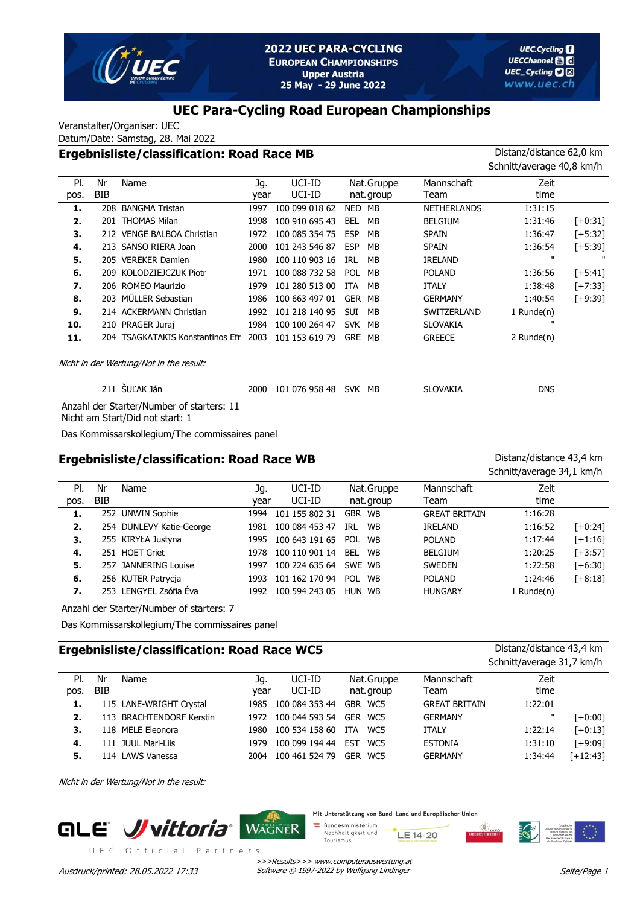

### **UEC Para-Cycling Road European Championships**

Veranstalter/Organiser: UEC

Datum/Date: Samstag, 28. Mai 2022

# **Ergebnisliste/classification: Road Race MB** Distanz/distance 62,0 km

|      |            |                                           |      |                |            |            |                    | Schnitt/average 40,8 km/h |            |
|------|------------|-------------------------------------------|------|----------------|------------|------------|--------------------|---------------------------|------------|
| PI.  | Nr         | Name                                      | Jg.  | UCI-ID         |            | Nat.Gruppe | Mannschaft         | Zeit                      |            |
| pos. | <b>BIB</b> |                                           | year | UCI-ID         |            | nat.group  | Team               | time                      |            |
| 1.   |            | 208 BANGMA Tristan                        | 1997 | 100 099 018 62 | NED        | MB         | <b>NETHERLANDS</b> | 1:31:15                   |            |
| 2.   |            | 201 THOMAS Milan                          | 1998 | 100 910 695 43 | <b>BEL</b> | MB         | <b>BELGIUM</b>     | 1:31:46                   | $[-10:31]$ |
| 3.   |            | 212 VENGE BALBOA Christian                | 1972 | 100 085 354 75 | <b>ESP</b> | MB         | <b>SPAIN</b>       | 1:36:47                   | $[-5:32]$  |
| 4.   |            | 213 SANSO RIERA Joan                      | 2000 | 101 243 546 87 | <b>ESP</b> | MB         | <b>SPAIN</b>       | 1:36:54                   | $[-5:39]$  |
| 5.   |            | 205 VEREKER Damien                        | 1980 | 100 110 903 16 | IRL        | МB         | <b>IRELAND</b>     | $\mathbf{u}$              |            |
| 6.   |            | 209 KOLODZIEJCZUK Piotr                   | 1971 | 100 088 732 58 | POL        | MB         | <b>POLAND</b>      | 1:36:56                   | $[-5:41]$  |
| 7.   |            | 206 ROMEO Maurizio                        | 1979 | 101 280 513 00 | ITA        | MB         | <b>ITALY</b>       | 1:38:48                   | $[-7:33]$  |
| 8.   |            | 203 MÜLLER Sebastian                      | 1986 | 100 663 497 01 | GER MB     |            | <b>GERMANY</b>     | 1:40:54                   | $[-9:39]$  |
| 9.   |            | 214 ACKERMANN Christian                   | 1992 | 101 218 140 95 | <b>SUI</b> | MB         | SWITZERLAND        | 1 Runde(n)                |            |
| 10.  |            | 210 PRAGER Juraj                          | 1984 | 100 100 264 47 | SVK MB     |            | <b>SLOVAKIA</b>    | п                         |            |
| 11.  |            | 204 TSAGKATAKIS Konstantinos Efr          | 2003 | 101 153 619 79 | GRE MB     |            | <b>GREECE</b>      | 2 Runde(n)                |            |
|      |            | Nicht in der Wertung/Not in the result:   |      |                |            |            |                    |                           |            |
|      |            | 211 ŠUĽAK Ján                             | 2000 | 101 076 958 48 | SVK MB     |            | <b>SLOVAKIA</b>    | <b>DNS</b>                |            |
|      |            | Anzahl der Starter/Number of starters: 11 |      |                |            |            |                    |                           |            |

Nicht am Start/Did not start: 1

Das Kommissarskollegium/The commissaires panel

#### **Ergebnisliste/classification: Road Race WB** Distanz/distance 43,4 km

Schnitt/average 34,1 km/h

 $S<sub>1</sub>$  should be a second  $31,71$  km/h

| PI.  | Nr         | Name                     | Jq.  | UCI-ID         | Nat.Gruppe       | Mannschaft           | Zeit       |            |
|------|------------|--------------------------|------|----------------|------------------|----------------------|------------|------------|
| pos. | <b>BIB</b> |                          | vear | UCI-ID         | nat. group       | Team                 | time       |            |
| 1.   |            | 252 UNWIN Sophie         | 1994 | 101 155 802 31 | GBR WB           | <b>GREAT BRITAIN</b> | 1:16:28    |            |
| 2.   |            | 254 DUNLEVY Katie-George | 1981 | 100 084 453 47 | IRL<br><b>WB</b> | <b>IRELAND</b>       | 1:16:52    | $[-10:24]$ |
| 3.   |            | 255 KIRYŁA Justyna       | 1995 | 100 643 191 65 | <b>POL</b><br>WB | <b>POLAND</b>        | 1:17:44    | $[+1:16]$  |
| 4.   |            | 251 HOET Griet           | 1978 | 100 110 901 14 | <b>BEL</b><br>WB | <b>BELGIUM</b>       | 1:20:25    | $[-13:57]$ |
| 5.   |            | 257 JANNERING Louise     | 1997 | 100 224 635 64 | SWE WB           | <b>SWEDEN</b>        | 1:22:58    | $[+6:30]$  |
| 6.   |            | 256 KUTER Patrycja       | 1993 | 101 162 170 94 | WB<br><b>POL</b> | <b>POLAND</b>        | 1:24:46    | $[+8:18]$  |
| 7.   |            | 253 LENGYEL Zsófia Éva   | 1992 | 100 594 243 05 | HUN WB           | <b>HUNGARY</b>       | 1 Runde(n) |            |
|      |            |                          |      |                |                  |                      |            |            |

Anzahl der Starter/Number of starters: 7

Das Kommissarskollegium/The commissaires panel

#### **Ergebnisliste/classification: Road Race WC5** Distanz/distance 43,4 km

|      |            |                          |      |                |                        |                      | SCHING average 31,7 KIN/II |            |
|------|------------|--------------------------|------|----------------|------------------------|----------------------|----------------------------|------------|
| PI.  | Nr         | Name                     | Jq.  | UCI-ID         | Nat.Gruppe             | Mannschaft           | Zeit                       |            |
| pos. | <b>BIB</b> |                          | vear | UCI-ID         | nat. group             | Team                 | time                       |            |
| 1.   |            | 115 LANE-WRIGHT Crystal  | 1985 | 100 084 353 44 | GBR WC5                | <b>GREAT BRITAIN</b> | 1:22:01                    |            |
| 2.   |            | 113 BRACHTENDORF Kerstin | 1972 | 100 044 593 54 | GER WC5                | <b>GERMANY</b>       | $\mathbf{H}$               | [+0:00]    |
| 3.   |            | 118 MELE Eleonora        | 1980 | 100 534 158 60 | ITA<br>WC <sub>5</sub> | <b>ITALY</b>         | 1:22:14                    | $[-0:13]$  |
| 4.   |            | 111 JUUL Mari-Liis       | 1979 | 100 099 194 44 | EST<br>WC5             | <b>ESTONIA</b>       | 1:31:10                    | $[-9:09]$  |
| 5.   |            | 114 LAWS Vanessa         | 2004 | 100 461 524 79 | GER WC5                | <b>GERMANY</b>       | 1:34:44                    | $[-12:43]$ |

Nicht in der Wertung/Not in the result:





Mit Unterstützung von Bund, Land und Europäischer Union

Bundesministerium Nachhaltigkeit und LE 14-20 Tourismus



>>>Results>>> www.computerauswertung.at Ausdruck/printed: 28.05.2022 17:33 Software © 1997-2022 by Wolfgang Lindinger

Seite/Page 1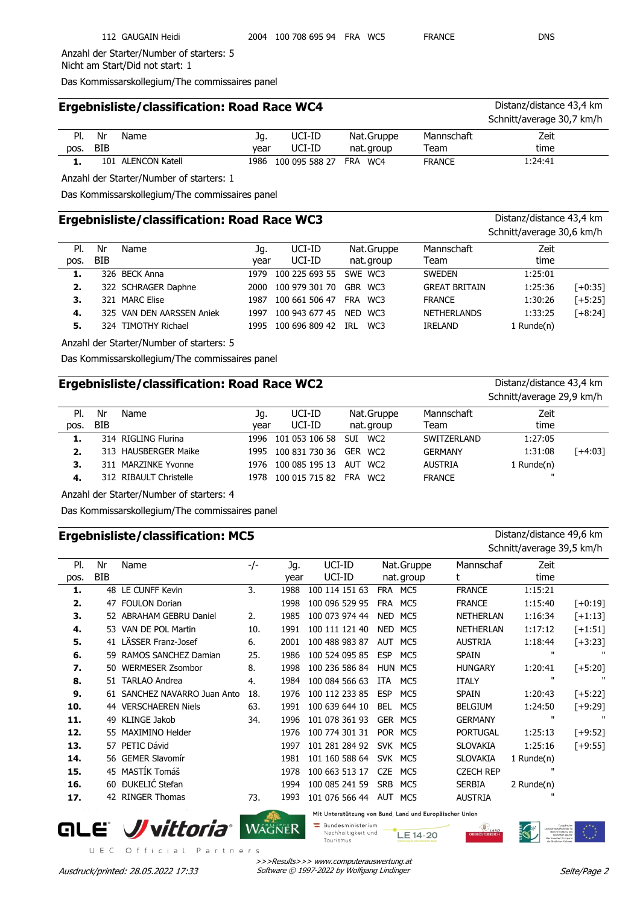Anzahl der Starter/Number of starters: 5 Nicht am Start/Did not start: 1

Das Kommissarskollegium/The commissaires panel

|      |     | Ergebnisliste/classification: Road Race WC4 |      |                |            |               | Distanz/distance 43,4 km  |
|------|-----|---------------------------------------------|------|----------------|------------|---------------|---------------------------|
|      |     |                                             |      |                |            |               | Schnitt/average 30,7 km/h |
| PI.  | Nr  | Name                                        | Jq.  | UCI-ID         | Nat.Gruppe | Mannschaft    | Zeit                      |
| pos. | BIB |                                             | vear | UCI-ID         | nat.group  | Team          | time                      |
| 1.   |     | 101 ALENCON Katell                          | 1986 | 100 095 588 27 | FRA WC4    | <b>FRANCE</b> | 1:24:41                   |

Anzahl der Starter/Number of starters: 1

Das Kommissarskollegium/The commissaires panel

# **Ergebnisliste/classification: Road Race WC3** Distanz/distance 43,4 km

|            |      |                                                                                                            |                |                |                    | Schnitt/average 30,6 km/h |                      |  |  |
|------------|------|------------------------------------------------------------------------------------------------------------|----------------|----------------|--------------------|---------------------------|----------------------|--|--|
| Nr         | Name | Jq.                                                                                                        | UCI-ID         | Nat.Gruppe     | Mannschaft         | Zeit                      |                      |  |  |
| <b>BIB</b> |      | vear                                                                                                       | UCI-ID         | nat.group      | Team               | time                      |                      |  |  |
|            |      | 1979                                                                                                       |                | SWE WC3        | <b>SWEDEN</b>      | 1:25:01                   |                      |  |  |
|            |      | 2000                                                                                                       | 100 979 301 70 | GBR WC3        |                    | 1:25:36                   | $[-6:35]$            |  |  |
|            |      | 1987                                                                                                       | 100 661 506 47 | FRA WC3        | <b>FRANCE</b>      | 1:30:26                   | $[-5:25]$            |  |  |
|            |      | 1997                                                                                                       | 100 943 677 45 | NED WC3        | <b>NETHERLANDS</b> | 1:33:25                   | $[-8:24]$            |  |  |
|            |      | 1995                                                                                                       | 100 696 809 42 | WC3<br>IRL     | <b>IRELAND</b>     | 1 Runde $(n)$             |                      |  |  |
|            |      | 326 BECK Anna<br>322 SCHRAGER Daphne<br>321 MARC Elise<br>325 VAN DEN AARSSEN Aniek<br>324 TIMOTHY Richael |                | 100 225 693 55 |                    |                           | <b>GREAT BRITAIN</b> |  |  |

Anzahl der Starter/Number of starters: 5

Das Kommissarskollegium/The commissaires panel

# **Ergebnisliste/classification: Road Race WC2** Distanz/distance 43,4 km

|      |            |                        |      |                             |                 |                | Schnitt/average 29,9 km/h |         |
|------|------------|------------------------|------|-----------------------------|-----------------|----------------|---------------------------|---------|
| PI.  | Nr         | Name                   | Jq.  | UCI-ID                      | Nat.Gruppe      | Mannschaft     | Zeit                      |         |
| pos. | <b>BIB</b> |                        | vear | UCI-ID                      | nat. group      | Team           | time                      |         |
| 1.   |            | 314 RIGLING Flurina    |      | 1996 101 053 106 58 SUI     | WC <sub>2</sub> | SWITZERLAND    | 1:27:05                   |         |
| 2.   |            | 313 HAUSBERGER Maike   |      | 1995 100 831 730 36 GER WC2 |                 | <b>GERMANY</b> | 1:31:08                   | [+4:03] |
| з.   |            | 311 MARZINKE Yvonne    |      | 1976 100 085 195 13         | AUT WC2         | <b>AUSTRIA</b> | 1 Runde $(n)$             |         |
| 4.   |            | 312 RIBAULT Christelle | 1978 | 100 015 715 82              | FRA WC2         | <b>FRANCE</b>  | $\mathbf{H}$              |         |

Anzahl der Starter/Number of starters: 4

Das Kommissarskollegium/The commissaires panel

#### **Ergebnisliste/classification: MC5** Distanz/distance 49,6 km

Schnitt/average 39,5 km/h

| PI.  | Nr  | Name                         | -/- | Jg.  | UCI-ID         | Nat.Gruppe        | Mannschaf        | Zeit          |              |
|------|-----|------------------------------|-----|------|----------------|-------------------|------------------|---------------|--------------|
| pos. | BIB |                              |     | year | UCI-ID         | nat.group         |                  | time          |              |
| 1.   |     | 48 LE CUNFF Kevin            | 3.  | 1988 | 100 114 151 63 | MC5<br><b>FRA</b> | <b>FRANCE</b>    | 1:15:21       |              |
| 2.   | 47  | <b>FOULON Dorian</b>         |     | 1998 | 100 096 529 95 | MC5<br><b>FRA</b> | <b>FRANCE</b>    | 1:15:40       | $[-10:19]$   |
| 3.   |     | 52 ABRAHAM GEBRU Daniel      | 2.  | 1985 | 100 073 974 44 | <b>NED</b><br>MC5 | <b>NETHERLAN</b> | 1:16:34       | $[-1:13]$    |
| 4.   |     | 53 VAN DE POL Martin         | 10. | 1991 | 100 111 121 40 | NED<br>MC5        | <b>NETHERLAN</b> | 1:17:12       | $[-1:51]$    |
| 5.   |     | 41 LÄSSER Franz-Josef        | 6.  | 2001 | 100 488 983 87 | <b>AUT</b><br>MC5 | <b>AUSTRIA</b>   | 1:18:44       | $[+3:23]$    |
| 6.   |     | 59 RAMOS SANCHEZ Damian      | 25. | 1986 | 100 524 095 85 | <b>ESP</b><br>MC5 | <b>SPAIN</b>     | п             |              |
| 7.   | 50. | <b>WERMESER Zsombor</b>      | 8.  | 1998 | 100 236 586 84 | <b>HUN</b><br>MC5 | <b>HUNGARY</b>   | 1:20:41       | $[-5:20]$    |
| 8.   |     | 51 TARLAO Andrea             | 4.  | 1984 | 100 084 566 63 | ITA<br>MC5        | <b>ITALY</b>     | п             | $\mathbf{H}$ |
| 9.   |     | 61 SANCHEZ NAVARRO Juan Anto | 18. | 1976 | 100 112 233 85 | <b>ESP</b><br>MC5 | <b>SPAIN</b>     | 1:20:43       | $[-5:22]$    |
| 10.  |     | 44 VERSCHAEREN Niels         | 63. | 1991 | 100 639 644 10 | <b>BEL</b><br>MC5 | <b>BELGIUM</b>   | 1:24:50       | $[-49:29]$   |
| 11.  | 49  | KLINGE Jakob                 | 34. | 1996 | 101 078 361 93 | <b>GER</b><br>MC5 | <b>GERMANY</b>   | ш             |              |
| 12.  |     | 55 MAXIMINO Helder           |     | 1976 | 100 774 301 31 | POR MC5           | <b>PORTUGAL</b>  | 1:25:13       | $[-49:52]$   |
| 13.  |     | 57 PETIC Dávid               |     | 1997 | 101 281 284 92 | <b>SVK</b><br>MC5 | <b>SLOVAKIA</b>  | 1:25:16       | $[-49:55]$   |
| 14.  |     | 56 GEMER Slavomír            |     | 1981 | 101 160 588 64 | SVK MC5           | <b>SLOVAKIA</b>  | 1 Runde $(n)$ |              |
| 15.  |     | 45 MASTIK Tomáš              |     | 1978 | 100 663 513 17 | <b>CZE</b><br>MC5 | <b>CZECH REP</b> | $\mathbf{u}$  |              |
| 16.  |     | 60 ĐUKELIĆ Stefan            |     | 1994 | 100 085 241 59 | <b>SRB</b><br>MC5 | <b>SERBIA</b>    | 2 Runde $(n)$ |              |
| 17.  |     | 42 RINGER Thomas             | 73. | 1993 | 101 076 566 44 | MC5<br>AUT        | <b>AUSTRIA</b>   | $\mathbf{u}$  |              |

# **ALE Wittoria** WAGNER

Mit Unterstützung von Bund, Land und Europäischer Union

 $\equiv$  Bundesministerium Nachhaltigkeit und LE 14-20 Tourismus

UEC Official Partners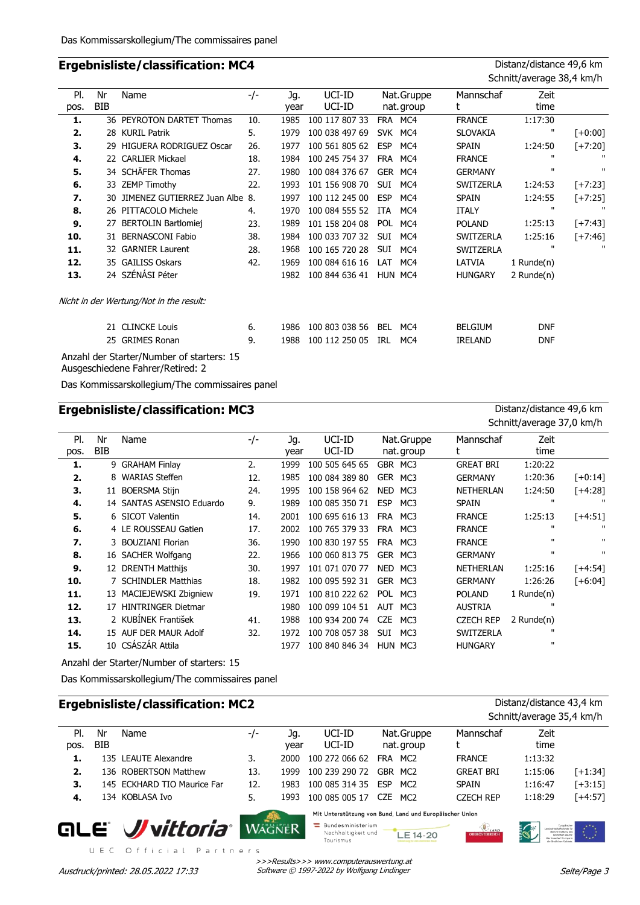# **Ergebnisliste/classification: MC4** Distanz/distance 49,6 km

| Nr<br>BIB | Name | −/−                                                                                                                                                                                                                                                                                                                                                                    | Jg.<br>year                       | UCI-ID<br>UCI-ID |            |     | Mannschaf<br>t                                                      | Zeit<br>time |                           |
|-----------|------|------------------------------------------------------------------------------------------------------------------------------------------------------------------------------------------------------------------------------------------------------------------------------------------------------------------------------------------------------------------------|-----------------------------------|------------------|------------|-----|---------------------------------------------------------------------|--------------|---------------------------|
|           |      | 10.                                                                                                                                                                                                                                                                                                                                                                    | 1985                              | 100 117 807 33   | <b>FRA</b> | MC4 | <b>FRANCE</b>                                                       | 1:17:30      |                           |
|           |      | 5.                                                                                                                                                                                                                                                                                                                                                                     | 1979                              | 100 038 497 69   |            |     | <b>SLOVAKIA</b>                                                     | ш            | $[+0:00]$                 |
|           |      | 26.                                                                                                                                                                                                                                                                                                                                                                    | 1977                              | 100 561 805 62   | <b>ESP</b> | MC4 | <b>SPAIN</b>                                                        | 1:24:50      | $[-7:20]$                 |
|           |      | 18.                                                                                                                                                                                                                                                                                                                                                                    | 1984                              | 100 245 754 37   |            |     | <b>FRANCE</b>                                                       | $\mathbf{H}$ |                           |
|           |      | 27.                                                                                                                                                                                                                                                                                                                                                                    | 1980                              | 100 084 376 67   |            |     | <b>GERMANY</b>                                                      | п            |                           |
|           |      | 22.                                                                                                                                                                                                                                                                                                                                                                    | 1993                              | 101 156 908 70   | <b>SUI</b> | MC4 | <b>SWITZERLA</b>                                                    | 1:24:53      | $[-7:23]$                 |
|           |      |                                                                                                                                                                                                                                                                                                                                                                        | 1997                              | 100 112 245 00   | <b>ESP</b> | MC4 | <b>SPAIN</b>                                                        | 1:24:55      | $[+7:25]$                 |
|           |      | 4.                                                                                                                                                                                                                                                                                                                                                                     | 1970                              | 100 084 555 52   | <b>ITA</b> | MC4 | ITALY                                                               | $\mathbf{u}$ |                           |
| 27        |      | 23.                                                                                                                                                                                                                                                                                                                                                                    | 1989                              | 101 158 204 08   | POL        | MC4 | <b>POLAND</b>                                                       | 1:25:13      | $[+7:43]$                 |
|           |      | 38.                                                                                                                                                                                                                                                                                                                                                                    | 1984                              | 100 033 707 32   | <b>SUI</b> | MC4 | <b>SWITZERLA</b>                                                    | 1:25:16      | $[+7:46]$                 |
|           |      | 28.                                                                                                                                                                                                                                                                                                                                                                    | 1968                              | 100 165 720 28   | <b>SUI</b> | MC4 | <b>SWITZERLA</b>                                                    |              |                           |
|           |      | 42.                                                                                                                                                                                                                                                                                                                                                                    | 1969                              | 100 084 616 16   | LAT        | MC4 | LATVIA                                                              | 1 Runde(n)   |                           |
|           |      |                                                                                                                                                                                                                                                                                                                                                                        | 1982                              | 100 844 636 41   |            |     | <b>HUNGARY</b>                                                      | 2 Runde(n)   |                           |
|           |      |                                                                                                                                                                                                                                                                                                                                                                        |                                   |                  |            |     |                                                                     |              |                           |
|           |      | 6.                                                                                                                                                                                                                                                                                                                                                                     | 1986                              | 100 803 038 56   | BEL        | MC4 | <b>BELGIUM</b>                                                      | <b>DNF</b>   |                           |
|           |      | 9.                                                                                                                                                                                                                                                                                                                                                                     | 1988                              | 100 112 250 05   | <b>IRL</b> | MC4 | IRELAND                                                             | <b>DNF</b>   |                           |
|           |      | 36 PEYROTON DARTET Thomas<br>28 KURIL Patrik<br>29 HIGUERA RODRIGUEZ Oscar<br>22 CARLIER Mickael<br>34 SCHÄFER Thomas<br>33 ZEMP Timothy<br>26 PITTACOLO Michele<br><b>BERTOLIN Bartlomiej</b><br>31 BERNASCONI Fabio<br>32 GARNIER Laurent<br>35 GAILISS Oskars<br>24 SZÉNÁSI Péter<br>Nicht in der Wertung/Not in the result:<br>21 CLINCKE Louis<br>25 GRIMES Ronan | 30 JIMENEZ GUTIERREZ Juan Albe 8. |                  |            |     | Nat.Gruppe<br>nat.group<br>SVK MC4<br>FRA MC4<br>GER MC4<br>HUN MC4 |              | Schnitt/average 38,4 km/h |

Anzahl der Starter/Number of starters: 15 Ausgeschiedene Fahrer/Retired: 2

Das Kommissarskollegium/The commissaires panel

|      |            | <b>Ergebnisliste/classification: MC3</b> |     | Distanz/distance 49,6 km |                |                   |                  |                           |              |
|------|------------|------------------------------------------|-----|--------------------------|----------------|-------------------|------------------|---------------------------|--------------|
|      |            |                                          |     |                          |                |                   |                  | Schnitt/average 37,0 km/h |              |
| PI.  | Nr         | Name                                     | -/- | Jq.                      | UCI-ID         | Nat.Gruppe        | Mannschaf        | Zeit                      |              |
| pos. | <b>BIB</b> |                                          |     | year                     | UCI-ID         | nat.group         | t                | time                      |              |
| 1.   | 9          | <b>GRAHAM Finlay</b>                     | 2.  | 1999                     | 100 505 645 65 | GBR MC3           | <b>GREAT BRI</b> | 1:20:22                   |              |
| 2.   |            | 8 WARIAS Steffen                         | 12. | 1985                     | 100 084 389 80 | GER MC3           | <b>GERMANY</b>   | 1:20:36                   | $[-0:14]$    |
| З.   | 11         | <b>BOERSMA Stijn</b>                     | 24. | 1995                     | 100 158 964 62 | <b>NED</b><br>MC3 | <b>NETHERLAN</b> | 1:24:50                   | $[+4:28]$    |
| 4.   |            | 14 SANTAS ASENSIO Eduardo                | 9.  | 1989                     | 100 085 350 71 | <b>ESP</b><br>MC3 | <b>SPAIN</b>     | $\mathbf{u}$              |              |
| 5.   |            | 6 SICOT Valentin                         | 14. | 2001                     | 100 695 616 13 | FRA<br>MC3        | <b>FRANCE</b>    | 1:25:13                   | $[-4:51]$    |
| 6.   |            | 4 LE ROUSSEAU Gatien                     | 17. | 2002                     | 100 765 379 33 | FRA MC3           | <b>FRANCE</b>    | $\mathbf{H}$              | $\mathbf{u}$ |
| 7.   |            | 3 BOUZIANI Florian                       | 36. | 1990                     | 100 830 197 55 | FRA MC3           | <b>FRANCE</b>    | $\mathbf{u}$              | $\mathbf{H}$ |
| 8.   |            | 16 SACHER Wolfgang                       | 22. | 1966                     | 100 060 813 75 | GER MC3           | <b>GERMANY</b>   | $\mathbf{u}$              | п            |
| 9.   |            | 12 DRENTH Matthijs                       | 30. | 1997                     | 101 071 070 77 | <b>NED</b><br>MC3 | <b>NETHERLAN</b> | 1:25:16                   | [+4:54]      |
| 10.  |            | 7 SCHINDLER Matthias                     | 18. | 1982                     | 100 095 592 31 | <b>GER</b><br>MC3 | <b>GERMANY</b>   | 1:26:26                   | $[-6:04]$    |
| 11.  |            | 13 MACIEJEWSKI Zbigniew                  | 19. | 1971                     | 100 810 222 62 | POL<br>MC3        | <b>POLAND</b>    | 1 Runde(n)                |              |
| 12.  | 17         | <b>HINTRINGER Dietmar</b>                |     | 1980                     | 100 099 104 51 | AUT<br>MC3        | <b>AUSTRIA</b>   | $\mathbf{u}$              |              |
| 13.  |            | 2 KUBÍNEK František                      | 41. | 1988                     | 100 934 200 74 | <b>CZE</b><br>MC3 | <b>CZECH REP</b> | 2 Runde $(n)$             |              |
| 14.  |            | 15 AUF DER MAUR Adolf                    | 32. | 1972                     | 100 708 057 38 | <b>SUI</b><br>MC3 | <b>SWITZERLA</b> | "                         |              |
| 15.  | 10         | CSÁSZÁR Attila                           |     | 1977                     | 100 840 846 34 | HUN MC3           | <b>HUNGARY</b>   | $\mathbf{u}$              |              |

Anzahl der Starter/Number of starters: 15

Das Kommissarskollegium/The commissaires panel

# **Ergebnisliste/classification: MC2** Distanz/distance 43,4 km

|             |                  |                             |     |             |                  |                                                         |                  | Schnitt/average 35,4 km/h |           |
|-------------|------------------|-----------------------------|-----|-------------|------------------|---------------------------------------------------------|------------------|---------------------------|-----------|
| PI.<br>pos. | Nr<br><b>BIB</b> | Name                        | -/- | Jq.<br>vear | UCI-ID<br>UCI-ID | Nat.Gruppe<br>nat.group                                 | Mannschaf        | Zeit<br>time              |           |
|             |                  | 135 LEAUTE Alexandre        |     | 2000        | 100 272 066 62   | FRA MC2                                                 | <b>FRANCE</b>    | 1:13:32                   |           |
| 2.          |                  | 136 ROBERTSON Matthew       | 13. | 1999        | 100 239 290 72   | GBR MC2                                                 | <b>GREAT BRI</b> | 1:15:06                   | [+1:34]   |
| 3.          |                  | 145 ECKHARD TIO Maurice Far | 12. | 1983        | 100 085 314 35   | <b>FSP</b><br>MC <sub>2</sub>                           | <b>SPAIN</b>     | 1:16:47                   | $[-3:15]$ |
| 4.          |                  | 134 KOBLASA Ivo             | 5.  | 1993        | 100 085 005 17   | MC <sub>2</sub><br>CZE.                                 | <b>CZECH REP</b> | 1:18:29                   | $[-4:57]$ |
|             |                  |                             |     |             |                  | Mit Unterstützung von Bund, Land und Europäischer Union |                  |                           |           |

# **GLE Vittoria** WAGNER

UEC Official Partners

>>>Results>>> www.computerauswertung.at Ausdruck/printed: 28.05.2022 17:33 Software © 1997-2022 by Wolfgang Lindinger

Tourismus

Bundesministerium<br>Nachhaltigkeit und

審 LAND

LE 14-20